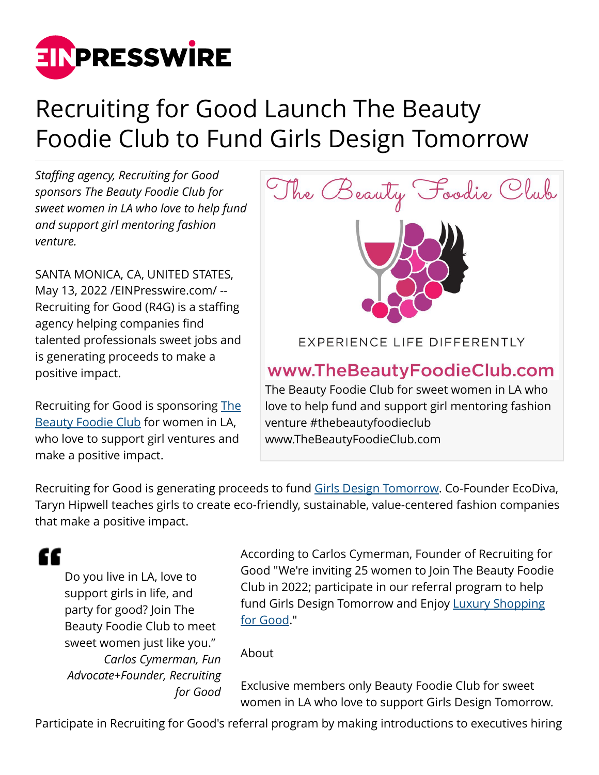

## Recruiting for Good Launch The Beauty Foodie Club to Fund Girls Design Tomorrow

*Staffing agency, Recruiting for Good sponsors The Beauty Foodie Club for sweet women in LA who love to help fund and support girl mentoring fashion venture.*

SANTA MONICA, CA, UNITED STATES, May 13, 2022 [/EINPresswire.com](http://www.einpresswire.com)/ -- Recruiting for Good (R4G) is a staffing agency helping companies find talented professionals sweet jobs and is generating proceeds to make a positive impact.

Recruiting for Good is sponsoring [The](https://www.TheBeautyFoodieClub.com) [Beauty Foodie Club](https://www.TheBeautyFoodieClub.com) for women in LA, who love to support girl ventures and make a positive impact.



venture #thebeautyfoodieclub www.TheBeautyFoodieClub.com

Recruiting for Good is generating proceeds to fund [Girls Design Tomorrow.](https://www.GirlsDesignTomorrow.com) Co-Founder EcoDiva, Taryn Hipwell teaches girls to create eco-friendly, sustainable, value-centered fashion companies that make a positive impact.

"

Do you live in LA, love to support girls in life, and party for good? Join The Beauty Foodie Club to meet sweet women just like you." *Carlos Cymerman, Fun Advocate+Founder, Recruiting for Good* According to Carlos Cymerman, Founder of Recruiting for Good "We're inviting 25 women to Join The Beauty Foodie Club in 2022; participate in our referral program to help fund Girls Design Tomorrow and Enjoy [Luxury Shopping](https://www.luxuryshoppingforgood.com) [for Good.](https://www.luxuryshoppingforgood.com)"

## About

Exclusive members only Beauty Foodie Club for sweet women in LA who love to support Girls Design Tomorrow.

Participate in Recruiting for Good's referral program by making introductions to executives hiring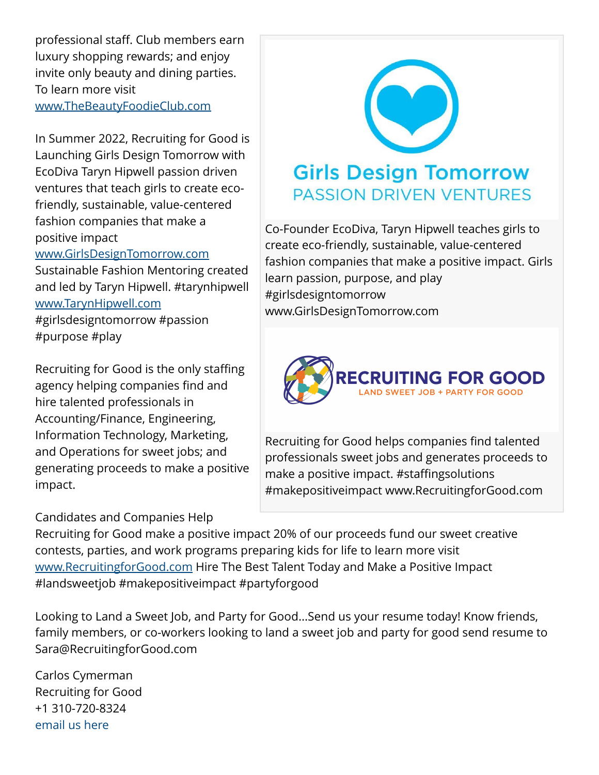professional staff. Club members earn luxury shopping rewards; and enjoy invite only beauty and dining parties. To learn more visit [www.TheBeautyFoodieClub.com](http://www.TheBeautyFoodieClub.com)

In Summer 2022, Recruiting for Good is Launching Girls Design Tomorrow with EcoDiva Taryn Hipwell passion driven ventures that teach girls to create ecofriendly, sustainable, value-centered fashion companies that make a positive impact

## [www.GirlsDesignTomorrow.com](http://www.GirlsDesignTomorrow.com)

Sustainable Fashion Mentoring created and led by Taryn Hipwell. #tarynhipwell [www.TarynHipwell.com](http://www.TarynHipwell.com)

#girlsdesigntomorrow #passion #purpose #play

Recruiting for Good is the only staffing agency helping companies find and hire talented professionals in Accounting/Finance, Engineering, Information Technology, Marketing, and Operations for sweet jobs; and generating proceeds to make a positive impact.

## Candidates and Companies Help



Co-Founder EcoDiva, Taryn Hipwell teaches girls to create eco-friendly, sustainable, value-centered fashion companies that make a positive impact. Girls learn passion, purpose, and play #girlsdesigntomorrow www.GirlsDesignTomorrow.com



Recruiting for Good helps companies find talented professionals sweet jobs and generates proceeds to make a positive impact. #staffingsolutions #makepositiveimpact www.RecruitingforGood.com

Recruiting for Good make a positive impact 20% of our proceeds fund our sweet creative contests, parties, and work programs preparing kids for life to learn more visit [www.RecruitingforGood.com](http://www.RecruitingforGood.com) Hire The Best Talent Today and Make a Positive Impact #landsweetjob #makepositiveimpact #partyforgood

Looking to Land a Sweet Job, and Party for Good...Send us your resume today! Know friends, family members, or co-workers looking to land a sweet job and party for good send resume to Sara@RecruitingforGood.com

Carlos Cymerman Recruiting for Good +1 310-720-8324 [email us here](http://www.einpresswire.com/contact_author/3484775)